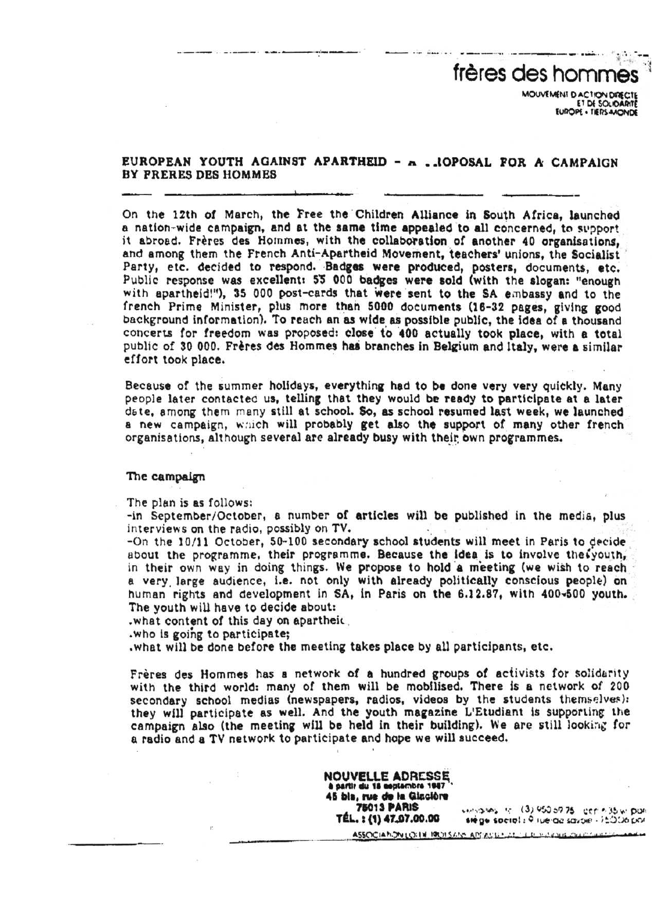frères des hommes MOUVEMENT D'ACTION DIRECTE EUROPE . TIERS-MONDE

## EUROPEAN YOUTH AGAINST APARTHEID - A . JOPOSAL FOR A CAMPAIGN BY FRERES DES HOMMES

On the 12th of March, the Free the Children Alliance in South Africa, launched a nation wide campaign, and at the same time appealed to all concerned, to support it abroad. Frères des Hommes, with the collaboration of another 40 organisations, and among them the French Anti-Apartheid Movement, teachers' unions, the Socialist Party, etc. decided to respond. Badges were produced, posters, documents, etc. Public response was excellent: 55 000 badges were sold (with the slogan: "enough with apartheid!"), 35 000 post-cards that were sent to the SA embassy and to the french Prime Minister, plus more than 5000 documents (16-32 pages, giving good background information). To reach an as wide as possible public, the idea of a thousand concerts for freedom was proposed: close to 400 actually took place, with a total public of 30 000. Frères des Hommes has branches in Belgium and Italy, were a similar effort took place.

Because of the summer holidays, everything had to be done very very quickly . Many people later contacted us, telling that they would be ready to participate at a later date, among them many still at school. So, as school resumed last week, we launched a new campaign, which will probably get also the support of many other french organisations, although several are already busy with their own programmes.

## The campaign

The plan is as follows:

-~ -

---

-in September/October, a number of articles will be published in the media, plus interviews on the radio, possibly on TV.

 $-On$  the  $10/11$  October,  $50-100$  secondary school students will meet in Paris to decide about the programme, their programme. Because the idea is to involve the youth, in their own way in doing things. We propose to hold a meeting (we wish to reach a very large audience, i.e. not only with already politically conscious people) on human rights and development in SA, in Paris on the 6.12.87, with 400-500 youth. The youth will have to decide about:

.what content of this day on apartheid

.who is going to participate;

.what will be done before the meeting takes place by all participants, etc .

Frères des Hommes has a network of a hundred groups of activists for solidarity with the third world: many of them will be mobilised. There is a network of 200 secondary school medias (newspapers, radios, videos by the students themselves): they will participate as well. And the youth magazine L'Etudiant is supporting the campaign also (the meeting will be held in their building). We are still looking for a radio and a TV network to participate and hope we will succeed,

> NOUVELLE ADRESSE à partir du 18 septembre 1947 45 bls, rue de la Gincière 78013 PARIS TEL. s (I) 41 7 .00.00

 $(3)$  950 59.75  $\cdot$  ecr $\cdot$  35  $\cdot$ stege social : 9 ive-de savoie - 15006 por **Giacióne**<br>**Quico de Constantino (1960-1975** control<br>**7.00.00** stège societa Principalmente (1961-1976)<br>LOIN PROTSAN APPARECIAL LE SURVIR CALCINIAN